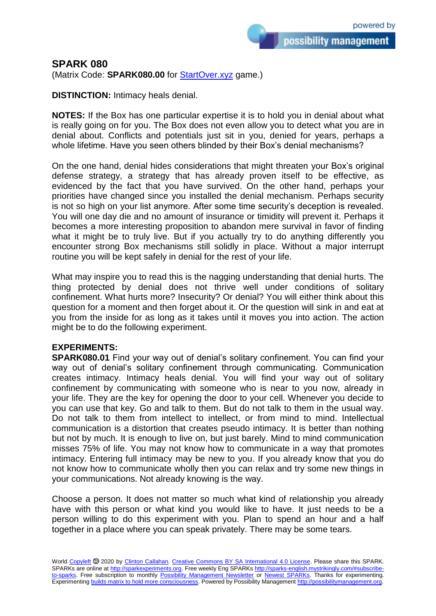possibility management

## **SPARK 080**

(Matrix Code: **SPARK080.00** for [StartOver.xyz](https://startoverxyz.mystrikingly.com/) game.)

**DISTINCTION:** Intimacy heals denial.

**NOTES:** If the Box has one particular expertise it is to hold you in denial about what is really going on for you. The Box does not even allow you to detect what you are in denial about. Conflicts and potentials just sit in you, denied for years, perhaps a whole lifetime. Have you seen others blinded by their Box's denial mechanisms?

On the one hand, denial hides considerations that might threaten your Box's original defense strategy, a strategy that has already proven itself to be effective, as evidenced by the fact that you have survived. On the other hand, perhaps your priorities have changed since you installed the denial mechanism. Perhaps security is not so high on your list anymore. After some time security's deception is revealed. You will one day die and no amount of insurance or timidity will prevent it. Perhaps it becomes a more interesting proposition to abandon mere survival in favor of finding what it might be to truly live. But if you actually try to do anything differently you encounter strong Box mechanisms still solidly in place. Without a major interrupt routine you will be kept safely in denial for the rest of your life.

What may inspire you to read this is the nagging understanding that denial hurts. The thing protected by denial does not thrive well under conditions of solitary confinement. What hurts more? Insecurity? Or denial? You will either think about this question for a moment and then forget about it. Or the question will sink in and eat at you from the inside for as long as it takes until it moves you into action. The action might be to do the following experiment.

## **EXPERIMENTS:**

**SPARK080.01** Find your way out of denial's solitary confinement. You can find your way out of denial's solitary confinement through communicating. Communication creates intimacy. Intimacy heals denial. You will find your way out of solitary confinement by communicating with someone who is near to you now, already in your life. They are the key for opening the door to your cell. Whenever you decide to you can use that key. Go and talk to them. But do not talk to them in the usual way. Do not talk to them from intellect to intellect, or from mind to mind. Intellectual communication is a distortion that creates pseudo intimacy. It is better than nothing but not by much. It is enough to live on, but just barely. Mind to mind communication misses 75% of life. You may not know how to communicate in a way that promotes intimacy. Entering full intimacy may be new to you. If you already know that you do not know how to communicate wholly then you can relax and try some new things in your communications. Not already knowing is the way.

Choose a person. It does not matter so much what kind of relationship you already have with this person or what kind you would like to have. It just needs to be a person willing to do this experiment with you. Plan to spend an hour and a half together in a place where you can speak privately. There may be some tears.

World [Copyleft](https://en.wikipedia.org/wiki/Copyleft) <sup>5</sup> 2020 by [Clinton Callahan.](http://clintoncallahan.mystrikingly.com/) [Creative Commons BY SA International 4.0 License.](https://creativecommons.org/licenses/by-sa/4.0/) Please share this SPARK. SPARKs are online at [http://sparkexperiments.org.](http://sparks-english.mystrikingly.com/) Free weekly Eng SPARKs [http://sparks-english.mystrikingly.com/#subscribe](http://sparks-english.mystrikingly.com/#subscribe-to-sparks)[to-sparks.](http://sparks-english.mystrikingly.com/#subscribe-to-sparks) Free subscription to monthly [Possibility Management Newsletter](https://possibilitymanagement.org/news/) or [Newest SPARKs.](https://www.clintoncallahan.org/newsletter-1) Thanks for experimenting. Experimentin[g builds matrix to hold more consciousness.](http://spaceport.mystrikingly.com/) Powered by Possibility Managemen[t http://possibilitymanagement.org.](http://possibilitymanagement.org/)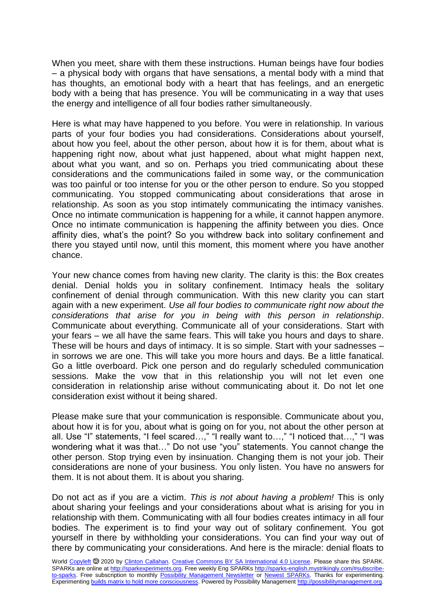When you meet, share with them these instructions. Human beings have four bodies – a physical body with organs that have sensations, a mental body with a mind that has thoughts, an emotional body with a heart that has feelings, and an energetic body with a being that has presence. You will be communicating in a way that uses the energy and intelligence of all four bodies rather simultaneously.

Here is what may have happened to you before. You were in relationship. In various parts of your four bodies you had considerations. Considerations about yourself, about how you feel, about the other person, about how it is for them, about what is happening right now, about what just happened, about what might happen next, about what you want, and so on. Perhaps you tried communicating about these considerations and the communications failed in some way, or the communication was too painful or too intense for you or the other person to endure. So you stopped communicating. You stopped communicating about considerations that arose in relationship. As soon as you stop intimately communicating the intimacy vanishes. Once no intimate communication is happening for a while, it cannot happen anymore. Once no intimate communication is happening the affinity between you dies. Once affinity dies, what's the point? So you withdrew back into solitary confinement and there you stayed until now, until this moment, this moment where you have another chance.

Your new chance comes from having new clarity. The clarity is this: the Box creates denial. Denial holds you in solitary confinement. Intimacy heals the solitary confinement of denial through communication. With this new clarity you can start again with a new experiment. *Use all four bodies to communicate right now about the considerations that arise for you in being with this person in relationship*. Communicate about everything. Communicate all of your considerations. Start with your fears – we all have the same fears. This will take you hours and days to share. These will be hours and days of intimacy. It is so simple. Start with your sadnesses – in sorrows we are one. This will take you more hours and days. Be a little fanatical. Go a little overboard. Pick one person and do regularly scheduled communication sessions. Make the vow that in this relationship you will not let even one consideration in relationship arise without communicating about it. Do not let one consideration exist without it being shared.

Please make sure that your communication is responsible. Communicate about you, about how it is for you, about what is going on for you, not about the other person at all. Use "I" statements, "I feel scared…," "I really want to…," "I noticed that…," "I was wondering what it was that…" Do not use "you" statements. You cannot change the other person. Stop trying even by insinuation. Changing them is not your job. Their considerations are none of your business. You only listen. You have no answers for them. It is not about them. It is about you sharing.

Do not act as if you are a victim. *This is not about having a problem!* This is only about sharing your feelings and your considerations about what is arising for you in relationship with them. Communicating with all four bodies creates intimacy in all four bodies. The experiment is to find your way out of solitary confinement. You got yourself in there by withholding your considerations. You can find your way out of there by communicating your considerations. And here is the miracle: denial floats to